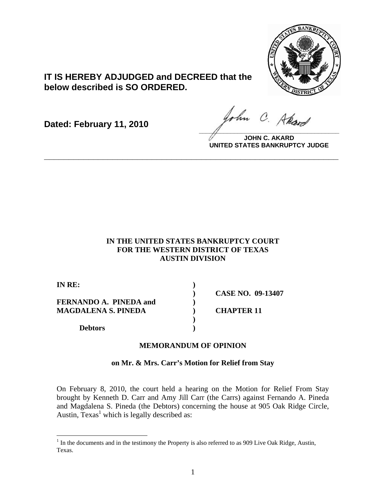

# **IT IS HEREBY ADJUDGED and DECREED that the below described is SO ORDERED.**

**Dated: February 11, 2010**

John C. Akard **\_\_\_\_\_\_\_\_\_\_\_\_\_\_\_\_\_\_\_\_\_\_\_\_\_\_\_\_\_\_\_\_\_\_\_\_\_\_\_\_**

**JOHN C. AKARD UNITED STATES BANKRUPTCY JUDGE**

## **IN THE UNITED STATES BANKRUPTCY COURT FOR THE WESTERN DISTRICT OF TEXAS AUSTIN DIVISION**

**\_\_\_\_\_\_\_\_\_\_\_\_\_\_\_\_\_\_\_\_\_\_\_\_\_\_\_\_\_\_\_\_\_\_\_\_\_\_\_\_\_\_\_\_\_\_\_\_\_\_\_\_\_\_\_\_\_\_\_\_**

| IN RE:                 |                          |
|------------------------|--------------------------|
|                        | <b>CASE NO. 09-13407</b> |
| FERNANDO A. PINEDA and |                          |
| MAGDALENA S. PINEDA    | <b>CHAPTER 11</b>        |
|                        |                          |
| <b>Debtors</b>         |                          |

## **MEMORANDUM OF OPINION**

### **on Mr. & Mrs. Carr's Motion for Relief from Stay**

On February 8, 2010, the court held a hearing on the Motion for Relief From Stay brought by Kenneth D. Carr and Amy Jill Carr (the Carrs) against Fernando A. Pineda and Magdalena S. Pineda (the Debtors) concerning the house at 905 Oak Ridge Circle, Austin,  $T$ exas<sup>1</sup> which is legally described as:

<sup>&</sup>lt;sup>1</sup> In the documents and in the testimony the Property is also referred to as 909 Live Oak Ridge, Austin, Texas.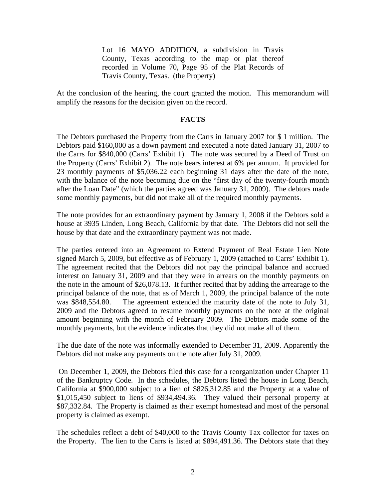Lot 16 MAYO ADDITION, a subdivision in Travis County, Texas according to the map or plat thereof recorded in Volume 70, Page 95 of the Plat Records of Travis County, Texas. (the Property)

At the conclusion of the hearing, the court granted the motion. This memorandum will amplify the reasons for the decision given on the record.

#### **FACTS**

The Debtors purchased the Property from the Carrs in January 2007 for \$ 1 million. The Debtors paid \$160,000 as a down payment and executed a note dated January 31, 2007 to the Carrs for \$840,000 (Carrs' Exhibit 1). The note was secured by a Deed of Trust on the Property (Carrs' Exhibit 2). The note bears interest at 6% per annum. It provided for 23 monthly payments of \$5,036.22 each beginning 31 days after the date of the note, with the balance of the note becoming due on the "first day of the twenty-fourth month" after the Loan Date" (which the parties agreed was January 31, 2009). The debtors made some monthly payments, but did not make all of the required monthly payments.

The note provides for an extraordinary payment by January 1, 2008 if the Debtors sold a house at 3935 Linden, Long Beach, California by that date. The Debtors did not sell the house by that date and the extraordinary payment was not made.

The parties entered into an Agreement to Extend Payment of Real Estate Lien Note signed March 5, 2009, but effective as of February 1, 2009 (attached to Carrs' Exhibit 1). The agreement recited that the Debtors did not pay the principal balance and accrued interest on January 31, 2009 and that they were in arrears on the monthly payments on the note in the amount of \$26,078.13. It further recited that by adding the arrearage to the principal balance of the note, that as of March 1, 2009, the principal balance of the note was \$848,554.80. The agreement extended the maturity date of the note to July 31, 2009 and the Debtors agreed to resume monthly payments on the note at the original amount beginning with the month of February 2009. The Debtors made some of the monthly payments, but the evidence indicates that they did not make all of them.

The due date of the note was informally extended to December 31, 2009. Apparently the Debtors did not make any payments on the note after July 31, 2009.

 On December 1, 2009, the Debtors filed this case for a reorganization under Chapter 11 of the Bankruptcy Code. In the schedules, the Debtors listed the house in Long Beach, California at \$900,000 subject to a lien of \$826,312.85 and the Property at a value of \$1,015,450 subject to liens of \$934,494.36. They valued their personal property at \$87,332.84. The Property is claimed as their exempt homestead and most of the personal property is claimed as exempt.

The schedules reflect a debt of \$40,000 to the Travis County Tax collector for taxes on the Property. The lien to the Carrs is listed at \$894,491.36. The Debtors state that they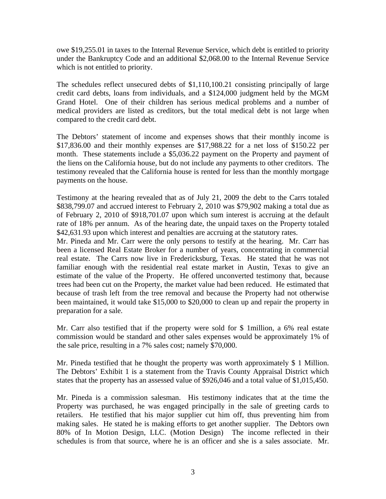owe \$19,255.01 in taxes to the Internal Revenue Service, which debt is entitled to priority under the Bankruptcy Code and an additional \$2,068.00 to the Internal Revenue Service which is not entitled to priority.

The schedules reflect unsecured debts of \$1,110,100.21 consisting principally of large credit card debts, loans from individuals, and a \$124,000 judgment held by the MGM Grand Hotel. One of their children has serious medical problems and a number of medical providers are listed as creditors, but the total medical debt is not large when compared to the credit card debt.

The Debtors' statement of income and expenses shows that their monthly income is \$17,836.00 and their monthly expenses are \$17,988.22 for a net loss of \$150.22 per month. These statements include a \$5,036.22 payment on the Property and payment of the liens on the California house, but do not include any payments to other creditors. The testimony revealed that the California house is rented for less than the monthly mortgage payments on the house.

Testimony at the hearing revealed that as of July 21, 2009 the debt to the Carrs totaled \$838,799.07 and accrued interest to February 2, 2010 was \$79,902 making a total due as of February 2, 2010 of \$918,701.07 upon which sum interest is accruing at the default rate of 18% per annum. As of the hearing date, the unpaid taxes on the Property totaled \$42,631.93 upon which interest and penalties are accruing at the statutory rates.

Mr. Pineda and Mr. Carr were the only persons to testify at the hearing. Mr. Carr has been a licensed Real Estate Broker for a number of years, concentrating in commercial real estate. The Carrs now live in Fredericksburg, Texas. He stated that he was not familiar enough with the residential real estate market in Austin, Texas to give an estimate of the value of the Property. He offered unconverted testimony that, because trees had been cut on the Property, the market value had been reduced. He estimated that because of trash left from the tree removal and because the Property had not otherwise been maintained, it would take \$15,000 to \$20,000 to clean up and repair the property in preparation for a sale.

Mr. Carr also testified that if the property were sold for \$ 1million, a 6% real estate commission would be standard and other sales expenses would be approximately 1% of the sale price, resulting in a 7% sales cost; namely \$70,000.

Mr. Pineda testified that he thought the property was worth approximately \$ 1 Million. The Debtors' Exhibit 1 is a statement from the Travis County Appraisal District which states that the property has an assessed value of \$926,046 and a total value of \$1,015,450.

Mr. Pineda is a commission salesman. His testimony indicates that at the time the Property was purchased, he was engaged principally in the sale of greeting cards to retailers. He testified that his major supplier cut him off, thus preventing him from making sales. He stated he is making efforts to get another supplier. The Debtors own 80% of In Motion Design, LLC. (Motion Design) The income reflected in their schedules is from that source, where he is an officer and she is a sales associate. Mr.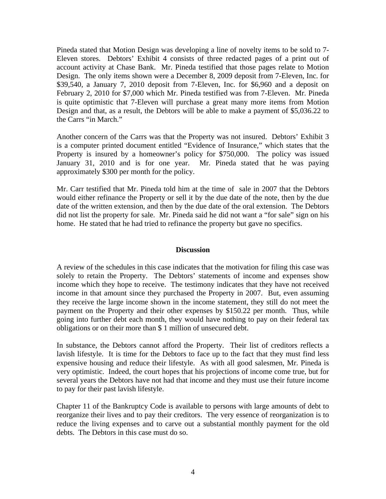Pineda stated that Motion Design was developing a line of novelty items to be sold to 7- Eleven stores. Debtors' Exhibit 4 consists of three redacted pages of a print out of account activity at Chase Bank. Mr. Pineda testified that those pages relate to Motion Design. The only items shown were a December 8, 2009 deposit from 7-Eleven, Inc. for \$39,540, a January 7, 2010 deposit from 7-Eleven, Inc. for \$6,960 and a deposit on February 2, 2010 for \$7,000 which Mr. Pineda testified was from 7-Eleven. Mr. Pineda is quite optimistic that 7-Eleven will purchase a great many more items from Motion Design and that, as a result, the Debtors will be able to make a payment of \$5,036.22 to the Carrs "in March."

Another concern of the Carrs was that the Property was not insured. Debtors' Exhibit 3 is a computer printed document entitled "Evidence of Insurance," which states that the Property is insured by a homeowner's policy for \$750,000. The policy was issued January 31, 2010 and is for one year. Mr. Pineda stated that he was paying approximately \$300 per month for the policy.

Mr. Carr testified that Mr. Pineda told him at the time of sale in 2007 that the Debtors would either refinance the Property or sell it by the due date of the note, then by the due date of the written extension, and then by the due date of the oral extension. The Debtors did not list the property for sale. Mr. Pineda said he did not want a "for sale" sign on his home. He stated that he had tried to refinance the property but gave no specifics.

### **Discussion**

A review of the schedules in this case indicates that the motivation for filing this case was solely to retain the Property. The Debtors' statements of income and expenses show income which they hope to receive. The testimony indicates that they have not received income in that amount since they purchased the Property in 2007. But, even assuming they receive the large income shown in the income statement, they still do not meet the payment on the Property and their other expenses by \$150.22 per month. Thus, while going into further debt each month, they would have nothing to pay on their federal tax obligations or on their more than \$ 1 million of unsecured debt.

In substance, the Debtors cannot afford the Property. Their list of creditors reflects a lavish lifestyle. It is time for the Debtors to face up to the fact that they must find less expensive housing and reduce their lifestyle. As with all good salesmen, Mr. Pineda is very optimistic. Indeed, the court hopes that his projections of income come true, but for several years the Debtors have not had that income and they must use their future income to pay for their past lavish lifestyle.

Chapter 11 of the Bankruptcy Code is available to persons with large amounts of debt to reorganize their lives and to pay their creditors. The very essence of reorganization is to reduce the living expenses and to carve out a substantial monthly payment for the old debts. The Debtors in this case must do so.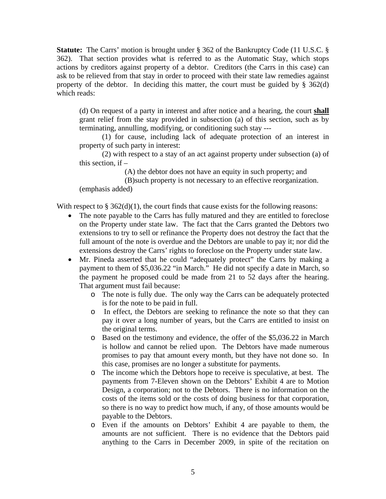**Statute:** The Carrs' motion is brought under § 362 of the Bankruptcy Code (11 U.S.C. § 362). That section provides what is referred to as the Automatic Stay, which stops actions by creditors against property of a debtor. Creditors (the Carrs in this case) can ask to be relieved from that stay in order to proceed with their state law remedies against property of the debtor. In deciding this matter, the court must be guided by  $\S$  362(d) which reads:

(d) On request of a party in interest and after notice and a hearing, the court **shall** grant relief from the stay provided in subsection (a) of this section, such as by terminating, annulling, modifying, or conditioning such stay ---

 (1) for cause, including lack of adequate protection of an interest in property of such party in interest:

 (2) with respect to a stay of an act against property under subsection (a) of this section, if  $-$ 

(A) the debtor does not have an equity in such property; and

(B)such property is not necessary to an effective reorganization.

(emphasis added)

With respect to  $\S 362(d)(1)$ , the court finds that cause exists for the following reasons:

- The note payable to the Carrs has fully matured and they are entitled to foreclose on the Property under state law. The fact that the Carrs granted the Debtors two extensions to try to sell or refinance the Property does not destroy the fact that the full amount of the note is overdue and the Debtors are unable to pay it; nor did the extensions destroy the Carrs' rights to foreclose on the Property under state law.
- Mr. Pineda asserted that he could "adequately protect" the Carrs by making a payment to them of \$5,036.22 "in March." He did not specify a date in March, so the payment he proposed could be made from 21 to 52 days after the hearing. That argument must fail because:
	- o The note is fully due. The only way the Carrs can be adequately protected is for the note to be paid in full.
	- o In effect, the Debtors are seeking to refinance the note so that they can pay it over a long number of years, but the Carrs are entitled to insist on the original terms.
	- o Based on the testimony and evidence, the offer of the \$5,036.22 in March is hollow and cannot be relied upon. The Debtors have made numerous promises to pay that amount every month, but they have not done so. In this case, promises are no longer a substitute for payments.
	- o The income which the Debtors hope to receive is speculative, at best. The payments from 7-Eleven shown on the Debtors' Exhibit 4 are to Motion Design, a corporation; not to the Debtors. There is no information on the costs of the items sold or the costs of doing business for that corporation, so there is no way to predict how much, if any, of those amounts would be payable to the Debtors.
	- o Even if the amounts on Debtors' Exhibit 4 are payable to them, the amounts are not sufficient. There is no evidence that the Debtors paid anything to the Carrs in December 2009, in spite of the recitation on